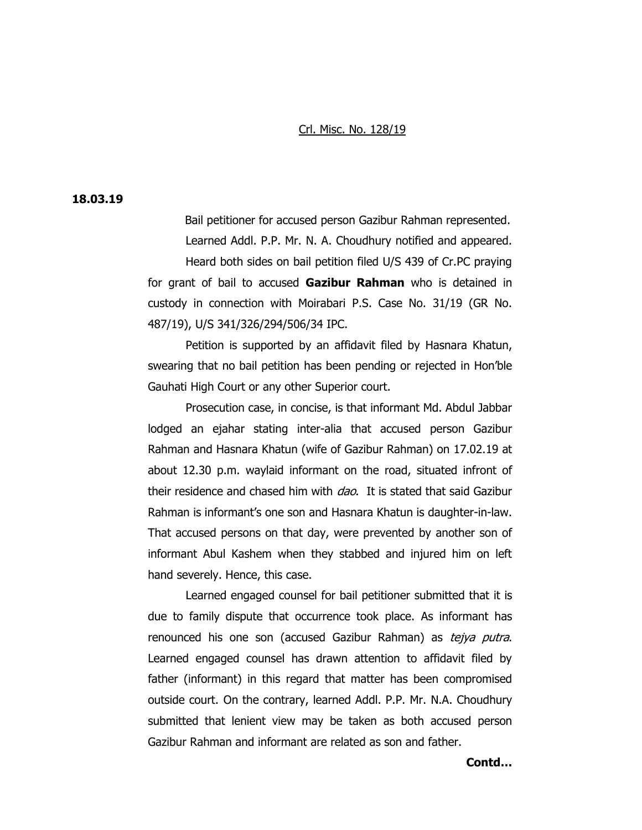## Crl. Misc. No. 128/19

## **18.03.19**

Bail petitioner for accused person Gazibur Rahman represented. Learned Addl. P.P. Mr. N. A. Choudhury notified and appeared. Heard both sides on bail petition filed U/S 439 of Cr.PC praying for grant of bail to accused **Gazibur Rahman** who is detained in custody in connection with Moirabari P.S. Case No. 31/19 (GR No. 487/19), U/S 341/326/294/506/34 IPC.

Petition is supported by an affidavit filed by Hasnara Khatun, swearing that no bail petition has been pending or rejected in Hon'ble Gauhati High Court or any other Superior court.

Prosecution case, in concise, is that informant Md. Abdul Jabbar lodged an ejahar stating inter-alia that accused person Gazibur Rahman and Hasnara Khatun (wife of Gazibur Rahman) on 17.02.19 at about 12.30 p.m. waylaid informant on the road, situated infront of their residence and chased him with *dao*. It is stated that said Gazibur Rahman is informant's one son and Hasnara Khatun is daughter-in-law. That accused persons on that day, were prevented by another son of informant Abul Kashem when they stabbed and injured him on left hand severely. Hence, this case.

Learned engaged counsel for bail petitioner submitted that it is due to family dispute that occurrence took place. As informant has renounced his one son (accused Gazibur Rahman) as tejya putra. Learned engaged counsel has drawn attention to affidavit filed by father (informant) in this regard that matter has been compromised outside court. On the contrary, learned Addl. P.P. Mr. N.A. Choudhury submitted that lenient view may be taken as both accused person Gazibur Rahman and informant are related as son and father.